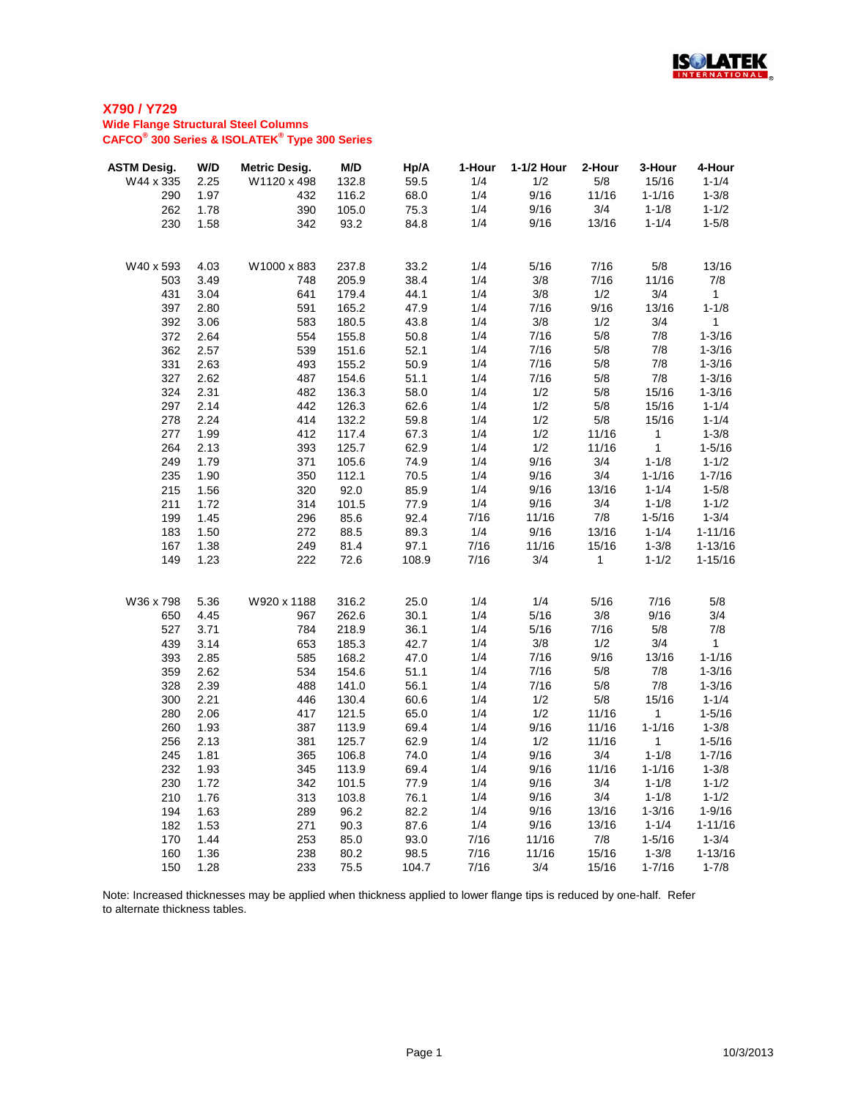

| <b>ASTM Desig.</b> | W/D          | <b>Metric Desig.</b> | M/D            | Hp/A         | 1-Hour     | 1-1/2 Hour   | 2-Hour       | 3-Hour                  | 4-Hour                   |
|--------------------|--------------|----------------------|----------------|--------------|------------|--------------|--------------|-------------------------|--------------------------|
| W44 x 335          | 2.25         | W1120 x 498          | 132.8          | 59.5         | 1/4        | 1/2          | 5/8          | 15/16                   | $1 - 1/4$                |
| 290                | 1.97         | 432                  | 116.2          | 68.0         | 1/4        | 9/16         | 11/16        | $1 - 1/16$              | $1 - 3/8$                |
| 262                | 1.78         | 390                  | 105.0          | 75.3         | 1/4        | 9/16         | 3/4          | $1 - 1/8$               | $1 - 1/2$                |
| 230                | 1.58         | 342                  | 93.2           | 84.8         | 1/4        | 9/16         | 13/16        | $1 - 1/4$               | $1 - 5/8$                |
|                    |              |                      |                |              |            |              |              |                         |                          |
| W40 x 593          | 4.03         | W1000 x 883          | 237.8          | 33.2         | 1/4        | 5/16         | 7/16         | 5/8                     | 13/16                    |
| 503                | 3.49         | 748                  | 205.9          | 38.4         | 1/4        | 3/8          | 7/16         | 11/16                   | 7/8                      |
| 431                | 3.04         | 641                  | 179.4          | 44.1         | 1/4        | 3/8          | 1/2          | 3/4                     | 1                        |
| 397                | 2.80         | 591                  | 165.2          | 47.9         | 1/4        | 7/16         | 9/16         | 13/16                   | $1 - 1/8$                |
| 392                | 3.06         | 583                  | 180.5          | 43.8         | 1/4        | $3/8$        | 1/2          | 3/4                     | $\mathbf{1}$             |
| 372                | 2.64         | 554                  | 155.8          | 50.8         | 1/4        | 7/16         | 5/8          | 7/8                     | $1 - 3/16$               |
| 362                | 2.57         | 539                  | 151.6          | 52.1         | 1/4        | 7/16         | 5/8          | 7/8                     | $1 - 3/16$               |
| 331                | 2.63         | 493                  | 155.2          | 50.9         | 1/4        | 7/16         | 5/8          | 7/8                     | $1 - 3/16$               |
| 327                | 2.62         | 487                  | 154.6          | 51.1         | 1/4        | 7/16         | 5/8          | 7/8                     | $1 - 3/16$               |
| 324                | 2.31         | 482                  | 136.3          | 58.0         | 1/4        | 1/2          | 5/8          | 15/16                   | $1 - 3/16$               |
| 297                | 2.14         | 442                  | 126.3          | 62.6         | 1/4        | 1/2          | 5/8          | 15/16                   | $1 - 1/4$                |
| 278                | 2.24         | 414                  | 132.2          | 59.8         | 1/4        | 1/2          | 5/8          | 15/16                   | $1 - 1/4$                |
| 277                | 1.99         | 412                  | 117.4          | 67.3         | 1/4        | 1/2          | 11/16        | $\mathbf{1}$            | $1 - 3/8$                |
| 264                | 2.13         | 393                  | 125.7          | 62.9         | 1/4        | 1/2          | 11/16        | $\mathbf{1}$            | $1 - 5/16$               |
| 249                | 1.79         | 371                  | 105.6          | 74.9         | 1/4        | 9/16         | 3/4          | $1 - 1/8$               | $1 - 1/2$                |
| 235                | 1.90         | 350                  | 112.1          | 70.5         | 1/4        | 9/16         | 3/4          | $1 - 1/16$              | $1 - 7/16$               |
| 215                | 1.56         | 320                  | 92.0           | 85.9         | 1/4        | 9/16         | 13/16        | $1 - 1/4$               | $1 - 5/8$                |
| 211                | 1.72         | 314                  | 101.5          | 77.9         | 1/4        | 9/16         | 3/4          | $1 - 1/8$               | $1 - 1/2$                |
| 199                | 1.45         | 296                  | 85.6           | 92.4         | 7/16       | 11/16        | 7/8          | $1 - 5/16$              | $1 - 3/4$                |
| 183                | 1.50         | 272                  | 88.5           | 89.3         | 1/4        | 9/16         | 13/16        | $1 - 1/4$               | $1 - 11/16$              |
| 167                | 1.38         | 249                  | 81.4           | 97.1         | 7/16       | 11/16        | 15/16        | $1 - 3/8$               | $1 - 13/16$              |
| 149                | 1.23         | 222                  | 72.6           | 108.9        | 7/16       | 3/4          | $\mathbf{1}$ | $1 - 1/2$               | $1 - 15/16$              |
|                    |              |                      |                |              |            |              |              |                         |                          |
| W36 x 798          | 5.36         | W920 x 1188<br>967   | 316.2          | 25.0         | 1/4<br>1/4 | 1/4          | 5/16<br>3/8  | 7/16<br>9/16            | 5/8                      |
| 650                | 4.45         |                      | 262.6          | 30.1         |            | 5/16         |              | 5/8                     | 3/4                      |
| 527                | 3.71         | 784                  | 218.9          | 36.1         | 1/4        | 5/16<br>3/8  | 7/16<br>1/2  | 3/4                     | 7/8<br>$\mathbf{1}$      |
| 439<br>393         | 3.14         | 653<br>585           | 185.3<br>168.2 | 42.7         | 1/4<br>1/4 |              | 9/16         |                         |                          |
|                    | 2.85         |                      |                | 47.0         |            | 7/16         |              | 13/16                   | $1 - 1/16$               |
| 359<br>328         | 2.62<br>2.39 | 534<br>488           | 154.6<br>141.0 | 51.1<br>56.1 | 1/4<br>1/4 | 7/16         | 5/8<br>$5/8$ | 7/8<br>7/8              | $1 - 3/16$<br>$1 - 3/16$ |
| 300                | 2.21         | 446                  |                | 60.6         | 1/4        | 7/16<br>1/2  | $5/8$        | 15/16                   | $1 - 1/4$                |
| 280                | 2.06         | 417                  | 130.4<br>121.5 | 65.0         | 1/4        | 1/2          | 11/16        | 1                       | $1 - 5/16$               |
| 260                | 1.93         | 387                  | 113.9          | 69.4         | 1/4        | 9/16         | 11/16        | $1 - 1/16$              | $1 - 3/8$                |
| 256                | 2.13         | 381                  | 125.7          | 62.9         | 1/4        | 1/2          | 11/16        | $\mathbf 1$             | $1 - 5/16$               |
| 245                | 1.81         | 365                  | 106.8          | 74.0         | 1/4        | 9/16         | 3/4          | $1 - 1/8$               | $1 - 7/16$               |
| 232                | 1.93         | 345                  | 113.9          | 69.4         | 1/4        | 9/16         | 11/16        | $1 - 1/16$              | $1 - 3/8$                |
|                    |              |                      |                |              | 1/4        | 9/16         | 3/4          | $1 - 1/8$               | $1 - 1/2$                |
| 230                | 1.72         | 342                  | 101.5          | 77.9         |            |              |              |                         |                          |
| 210<br>194         | 1.76<br>1.63 | 313<br>289           | 103.8<br>96.2  | 76.1<br>82.2 | 1/4<br>1/4 | 9/16<br>9/16 | 3/4<br>13/16 | $1 - 1/8$<br>$1 - 3/16$ | $1 - 1/2$<br>$1 - 9/16$  |
| 182                | 1.53         | 271                  | 90.3           | 87.6         | 1/4        | 9/16         | 13/16        | $1 - 1/4$               | $1 - 11/16$              |
| 170                | 1.44         | 253                  | 85.0           | 93.0         | 7/16       | 11/16        | 7/8          | $1 - 5/16$              | $1 - 3/4$                |
| 160                | 1.36         | 238                  | 80.2           | 98.5         | 7/16       | 11/16        | 15/16        | $1 - 3/8$               | $1 - 13/16$              |
| 150                | 1.28         | 233                  | 75.5           | 104.7        | 7/16       | 3/4          | 15/16        | $1 - 7/16$              | $1 - 7/8$                |
|                    |              |                      |                |              |            |              |              |                         |                          |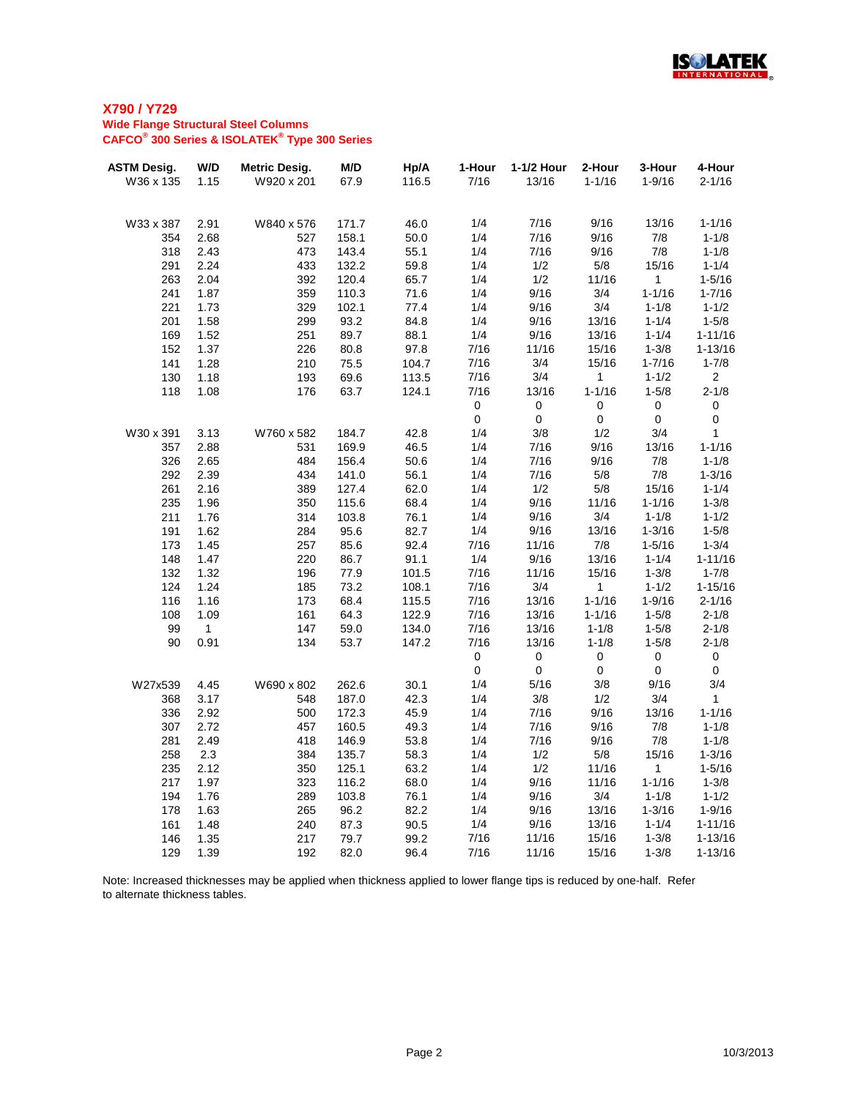

| <b>ASTM Desig.</b> | W/D          | <b>Metric Desig.</b> | M/D   | Hp/A  | 1-Hour    | 1-1/2 Hour | 2-Hour       | 3-Hour     | 4-Hour         |
|--------------------|--------------|----------------------|-------|-------|-----------|------------|--------------|------------|----------------|
| W36 x 135          | 1.15         | W920 x 201           | 67.9  | 116.5 | 7/16      | 13/16      | $1 - 1/16$   | $1 - 9/16$ | $2 - 1/16$     |
|                    |              |                      |       |       |           |            |              |            |                |
| W33 x 387          | 2.91         | W840 x 576           | 171.7 | 46.0  | 1/4       | 7/16       | 9/16         | 13/16      | $1 - 1/16$     |
| 354                | 2.68         | 527                  | 158.1 | 50.0  | 1/4       | 7/16       | 9/16         | 7/8        | $1 - 1/8$      |
| 318                | 2.43         | 473                  | 143.4 | 55.1  | 1/4       | 7/16       | 9/16         | 7/8        | $1 - 1/8$      |
| 291                | 2.24         | 433                  | 132.2 | 59.8  | 1/4       | 1/2        | 5/8          | 15/16      | $1 - 1/4$      |
| 263                | 2.04         | 392                  | 120.4 | 65.7  | 1/4       | 1/2        | 11/16        | 1          | $1 - 5/16$     |
| 241                | 1.87         | 359                  | 110.3 | 71.6  | 1/4       | 9/16       | 3/4          | $1 - 1/16$ | $1 - 7/16$     |
| 221                | 1.73         | 329                  | 102.1 | 77.4  | 1/4       | 9/16       | 3/4          | $1 - 1/8$  | $1 - 1/2$      |
| 201                | 1.58         | 299                  | 93.2  | 84.8  | 1/4       | 9/16       | 13/16        | $1 - 1/4$  | $1 - 5/8$      |
| 169                | 1.52         | 251                  | 89.7  | 88.1  | 1/4       | 9/16       | 13/16        | $1 - 1/4$  | $1 - 11/16$    |
| 152                | 1.37         | 226                  | 80.8  | 97.8  | 7/16      | 11/16      | 15/16        | $1 - 3/8$  | $1 - 13/16$    |
| 141                | 1.28         | 210                  | 75.5  | 104.7 | 7/16      | 3/4        | 15/16        | $1 - 7/16$ | $1 - 7/8$      |
| 130                | 1.18         | 193                  | 69.6  | 113.5 | 7/16      | 3/4        | $\mathbf 1$  | $1 - 1/2$  | 2 <sup>1</sup> |
| 118                | 1.08         | 176                  | 63.7  | 124.1 | 7/16      | 13/16      | $1 - 1/16$   | $1 - 5/8$  | $2 - 1/8$      |
|                    |              |                      |       |       | $\pmb{0}$ | $\pmb{0}$  | $\pmb{0}$    | $\pmb{0}$  | $\pmb{0}$      |
|                    |              |                      |       |       | $\pmb{0}$ | $\pmb{0}$  | $\mathbf 0$  | $\pmb{0}$  | $\pmb{0}$      |
| W30 x 391          | 3.13         | W760 x 582           | 184.7 | 42.8  | 1/4       | 3/8        | 1/2          | 3/4        | $\mathbf{1}$   |
| 357                | 2.88         | 531                  | 169.9 | 46.5  | 1/4       | 7/16       | 9/16         | 13/16      | $1 - 1/16$     |
| 326                | 2.65         | 484                  | 156.4 | 50.6  | 1/4       | 7/16       | 9/16         | 7/8        | $1 - 1/8$      |
| 292                | 2.39         | 434                  | 141.0 | 56.1  | 1/4       | 7/16       | 5/8          | 7/8        | $1 - 3/16$     |
| 261                | 2.16         | 389                  | 127.4 | 62.0  | 1/4       | 1/2        | 5/8          | 15/16      | $1 - 1/4$      |
| 235                | 1.96         | 350                  | 115.6 | 68.4  | 1/4       | 9/16       | 11/16        | $1 - 1/16$ | $1 - 3/8$      |
| 211                | 1.76         | 314                  | 103.8 | 76.1  | 1/4       | 9/16       | 3/4          | $1 - 1/8$  | $1 - 1/2$      |
| 191                | 1.62         | 284                  | 95.6  | 82.7  | 1/4       | 9/16       | 13/16        | $1 - 3/16$ | $1 - 5/8$      |
| 173                | 1.45         | 257                  | 85.6  | 92.4  | 7/16      | 11/16      | 7/8          | $1 - 5/16$ | $1 - 3/4$      |
| 148                | 1.47         | 220                  | 86.7  | 91.1  | 1/4       | 9/16       | 13/16        | $1 - 1/4$  | $1 - 11/16$    |
| 132                | 1.32         | 196                  | 77.9  | 101.5 | 7/16      | 11/16      | 15/16        | $1 - 3/8$  | $1 - 7/8$      |
| 124                | 1.24         | 185                  | 73.2  | 108.1 | 7/16      | 3/4        | $\mathbf{1}$ | $1 - 1/2$  | $1 - 15/16$    |
| 116                | 1.16         | 173                  | 68.4  | 115.5 | 7/16      | 13/16      | $1 - 1/16$   | $1 - 9/16$ | $2 - 1/16$     |
| 108                | 1.09         | 161                  | 64.3  | 122.9 | 7/16      | 13/16      | $1 - 1/16$   | $1 - 5/8$  | $2 - 1/8$      |
| 99                 | $\mathbf{1}$ | 147                  | 59.0  | 134.0 | 7/16      | 13/16      | $1 - 1/8$    | $1 - 5/8$  | $2 - 1/8$      |
| 90                 | 0.91         | 134                  | 53.7  | 147.2 | 7/16      | 13/16      | $1 - 1/8$    | $1 - 5/8$  | $2 - 1/8$      |
|                    |              |                      |       |       | $\pmb{0}$ | $\pmb{0}$  | $\mathsf 0$  | $\pmb{0}$  | $\pmb{0}$      |
|                    |              |                      |       |       | $\pmb{0}$ | $\pmb{0}$  | $\pmb{0}$    | $\pmb{0}$  | $\pmb{0}$      |
| W27x539            | 4.45         | W690 x 802           | 262.6 | 30.1  | 1/4       | 5/16       | 3/8          | 9/16       | 3/4            |
| 368                | 3.17         | 548                  | 187.0 | 42.3  | 1/4       | 3/8        | 1/2          | 3/4        | $\mathbf 1$    |
| 336                | 2.92         | 500                  | 172.3 | 45.9  | 1/4       | 7/16       | 9/16         | 13/16      | $1 - 1/16$     |
| 307                | 2.72         | 457                  | 160.5 | 49.3  | 1/4       | 7/16       | 9/16         | 7/8        | $1 - 1/8$      |
| 281                | 2.49         | 418                  | 146.9 | 53.8  | 1/4       | 7/16       | 9/16         | 7/8        | $1 - 1/8$      |
| 258                | 2.3          | 384                  | 135.7 | 58.3  | 1/4       | 1/2        | 5/8          | 15/16      | $1 - 3/16$     |
| 235                | 2.12         | 350                  | 125.1 | 63.2  | 1/4       | 1/2        | 11/16        | 1          | $1 - 5/16$     |
| 217                | 1.97         | 323                  | 116.2 | 68.0  | 1/4       | 9/16       | 11/16        | $1 - 1/16$ | $1 - 3/8$      |
| 194                | 1.76         | 289                  | 103.8 | 76.1  | 1/4       | 9/16       | 3/4          | $1 - 1/8$  | $1 - 1/2$      |
| 178                | 1.63         | 265                  | 96.2  | 82.2  | 1/4       | 9/16       | 13/16        | $1 - 3/16$ | $1 - 9/16$     |
| 161                | 1.48         | 240                  | 87.3  | 90.5  | 1/4       | 9/16       | 13/16        | $1 - 1/4$  | $1 - 11/16$    |
| 146                | 1.35         | 217                  | 79.7  | 99.2  | 7/16      | 11/16      | 15/16        | $1 - 3/8$  | $1 - 13/16$    |
| 129                | 1.39         | 192                  | 82.0  | 96.4  | 7/16      | 11/16      | 15/16        | $1 - 3/8$  | $1 - 13/16$    |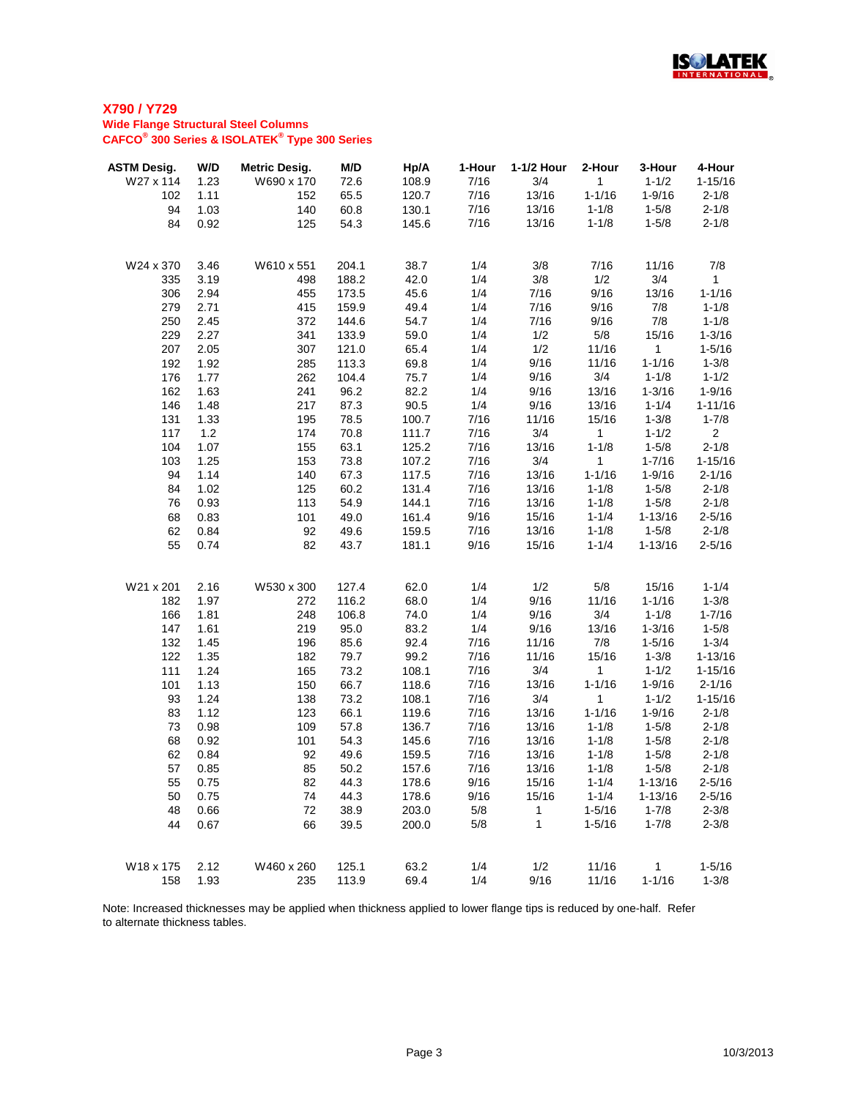

| <b>ASTM Desig.</b> | W/D  | <b>Metric Desig.</b> | M/D   | Hp/A  | 1-Hour | 1-1/2 Hour | 2-Hour       | 3-Hour      | 4-Hour         |
|--------------------|------|----------------------|-------|-------|--------|------------|--------------|-------------|----------------|
| W27 x 114          | 1.23 | W690 x 170           | 72.6  | 108.9 | 7/16   | 3/4        | $\mathbf{1}$ | $1 - 1/2$   | $1 - 15/16$    |
| 102                | 1.11 | 152                  | 65.5  | 120.7 | 7/16   | 13/16      | $1 - 1/16$   | $1 - 9/16$  | $2 - 1/8$      |
| 94                 | 1.03 | 140                  | 60.8  | 130.1 | 7/16   | 13/16      | $1 - 1/8$    | $1 - 5/8$   | $2 - 1/8$      |
| 84                 | 0.92 | 125                  | 54.3  | 145.6 | 7/16   | 13/16      | $1 - 1/8$    | $1 - 5/8$   | $2 - 1/8$      |
|                    |      |                      |       |       |        |            |              |             |                |
| W24 x 370          | 3.46 | W610 x 551           | 204.1 | 38.7  | 1/4    | 3/8        | 7/16         | 11/16       | 7/8            |
| 335                | 3.19 | 498                  | 188.2 | 42.0  | 1/4    | 3/8        | 1/2          | 3/4         | $\mathbf{1}$   |
| 306                | 2.94 | 455                  | 173.5 | 45.6  | 1/4    | 7/16       | 9/16         | 13/16       | $1 - 1/16$     |
| 279                | 2.71 | 415                  | 159.9 | 49.4  | 1/4    | 7/16       | 9/16         | 7/8         | $1 - 1/8$      |
| 250                | 2.45 | 372                  | 144.6 | 54.7  | 1/4    | 7/16       | 9/16         | 7/8         | $1 - 1/8$      |
| 229                | 2.27 | 341                  | 133.9 | 59.0  | 1/4    | 1/2        | 5/8          | 15/16       | $1 - 3/16$     |
| 207                | 2.05 | 307                  | 121.0 | 65.4  | 1/4    | 1/2        | 11/16        | $\mathbf 1$ | $1 - 5/16$     |
| 192                | 1.92 | 285                  | 113.3 | 69.8  | 1/4    | 9/16       | 11/16        | $1 - 1/16$  | $1 - 3/8$      |
| 176                | 1.77 | 262                  | 104.4 | 75.7  | 1/4    | 9/16       | 3/4          | $1 - 1/8$   | $1 - 1/2$      |
| 162                | 1.63 | 241                  | 96.2  | 82.2  | 1/4    | 9/16       | 13/16        | $1 - 3/16$  | $1 - 9/16$     |
| 146                | 1.48 | 217                  | 87.3  | 90.5  | 1/4    | 9/16       | 13/16        | $1 - 1/4$   | $1 - 11/16$    |
| 131                | 1.33 | 195                  | 78.5  | 100.7 | 7/16   | 11/16      | 15/16        | $1 - 3/8$   | $1 - 7/8$      |
| 117                | 1.2  | 174                  | 70.8  | 111.7 | 7/16   | 3/4        | 1            | $1 - 1/2$   | 2 <sup>1</sup> |
| 104                | 1.07 | 155                  | 63.1  | 125.2 | 7/16   | 13/16      | $1 - 1/8$    | $1 - 5/8$   | $2 - 1/8$      |
| 103                | 1.25 | 153                  | 73.8  | 107.2 | 7/16   | 3/4        | 1            | $1 - 7/16$  | $1 - 15/16$    |
| 94                 | 1.14 | 140                  | 67.3  | 117.5 | 7/16   | 13/16      | $1 - 1/16$   | $1 - 9/16$  | $2 - 1/16$     |
| 84                 | 1.02 | 125                  | 60.2  | 131.4 | 7/16   | 13/16      | $1 - 1/8$    | $1 - 5/8$   | $2 - 1/8$      |
| 76                 | 0.93 | 113                  | 54.9  | 144.1 | 7/16   | 13/16      | $1 - 1/8$    | $1 - 5/8$   | $2 - 1/8$      |
| 68                 | 0.83 | 101                  | 49.0  | 161.4 | 9/16   | 15/16      | $1 - 1/4$    | $1 - 13/16$ | $2 - 5/16$     |
| 62                 | 0.84 | 92                   | 49.6  | 159.5 | 7/16   | 13/16      | $1 - 1/8$    | $1 - 5/8$   | $2 - 1/8$      |
| 55                 | 0.74 | 82                   | 43.7  | 181.1 | 9/16   | 15/16      | $1 - 1/4$    | $1 - 13/16$ | $2 - 5/16$     |
|                    |      |                      |       |       |        |            |              |             |                |
| W21 x 201          | 2.16 | W530 x 300           | 127.4 | 62.0  | 1/4    | 1/2        | 5/8          | 15/16       | $1 - 1/4$      |
| 182                | 1.97 | 272                  | 116.2 | 68.0  | 1/4    | 9/16       | 11/16        | $1 - 1/16$  | $1 - 3/8$      |
| 166                | 1.81 | 248                  | 106.8 | 74.0  | 1/4    | 9/16       | 3/4          | $1 - 1/8$   | $1 - 7/16$     |
| 147                | 1.61 | 219                  | 95.0  | 83.2  | 1/4    | 9/16       | 13/16        | $1 - 3/16$  | $1 - 5/8$      |
| 132                | 1.45 | 196                  | 85.6  | 92.4  | 7/16   | 11/16      | 7/8          | $1 - 5/16$  | $1 - 3/4$      |
| 122                | 1.35 | 182                  | 79.7  | 99.2  | 7/16   | 11/16      | 15/16        | $1 - 3/8$   | $1 - 13/16$    |
| 111                | 1.24 | 165                  | 73.2  | 108.1 | 7/16   | 3/4        | $\mathbf{1}$ | $1 - 1/2$   | $1 - 15/16$    |
| 101                | 1.13 | 150                  | 66.7  | 118.6 | 7/16   | 13/16      | $1 - 1/16$   | $1 - 9/16$  | $2 - 1/16$     |
| 93                 | 1.24 | 138                  | 73.2  | 108.1 | 7/16   | 3/4        | $\mathbf{1}$ | $1 - 1/2$   | $1 - 15/16$    |
| 83                 | 1.12 | 123                  | 66.1  | 119.6 | 7/16   | 13/16      | $1 - 1/16$   | $1 - 9/16$  | $2 - 1/8$      |
| 73                 | 0.98 | 109                  | 57.8  | 136.7 | 7/16   | 13/16      | $1 - 1/8$    | $1 - 5/8$   | $2 - 1/8$      |
| 68                 | 0.92 | 101                  | 54.3  | 145.6 | 7/16   | 13/16      | $1 - 1/8$    | $1 - 5/8$   | $2 - 1/8$      |
| 62                 | 0.84 | 92                   | 49.6  | 159.5 | 7/16   | 13/16      | $1 - 1/8$    | $1 - 5/8$   | $2 - 1/8$      |
| 57                 | 0.85 | 85                   | 50.2  | 157.6 | 7/16   | 13/16      | $1 - 1/8$    | $1 - 5/8$   | $2 - 1/8$      |
| 55                 | 0.75 | 82                   | 44.3  | 178.6 | 9/16   | 15/16      | $1 - 1/4$    | $1 - 13/16$ | $2 - 5/16$     |
| 50                 | 0.75 | 74                   | 44.3  | 178.6 | 9/16   | 15/16      | $1 - 1/4$    | $1 - 13/16$ | $2 - 5/16$     |
| 48                 | 0.66 | 72                   | 38.9  | 203.0 | 5/8    | 1          | $1 - 5/16$   | $1 - 7/8$   | $2 - 3/8$      |
| 44                 | 0.67 | 66                   | 39.5  | 200.0 | 5/8    | 1          | $1 - 5/16$   | $1 - 7/8$   | $2 - 3/8$      |
|                    |      |                      |       |       |        |            |              |             |                |
| W18 x 175          | 2.12 | W460 x 260           | 125.1 | 63.2  | 1/4    | 1/2        | 11/16        | 1           | $1 - 5/16$     |
| 158                | 1.93 | 235                  | 113.9 | 69.4  | 1/4    | 9/16       | 11/16        | $1 - 1/16$  | $1 - 3/8$      |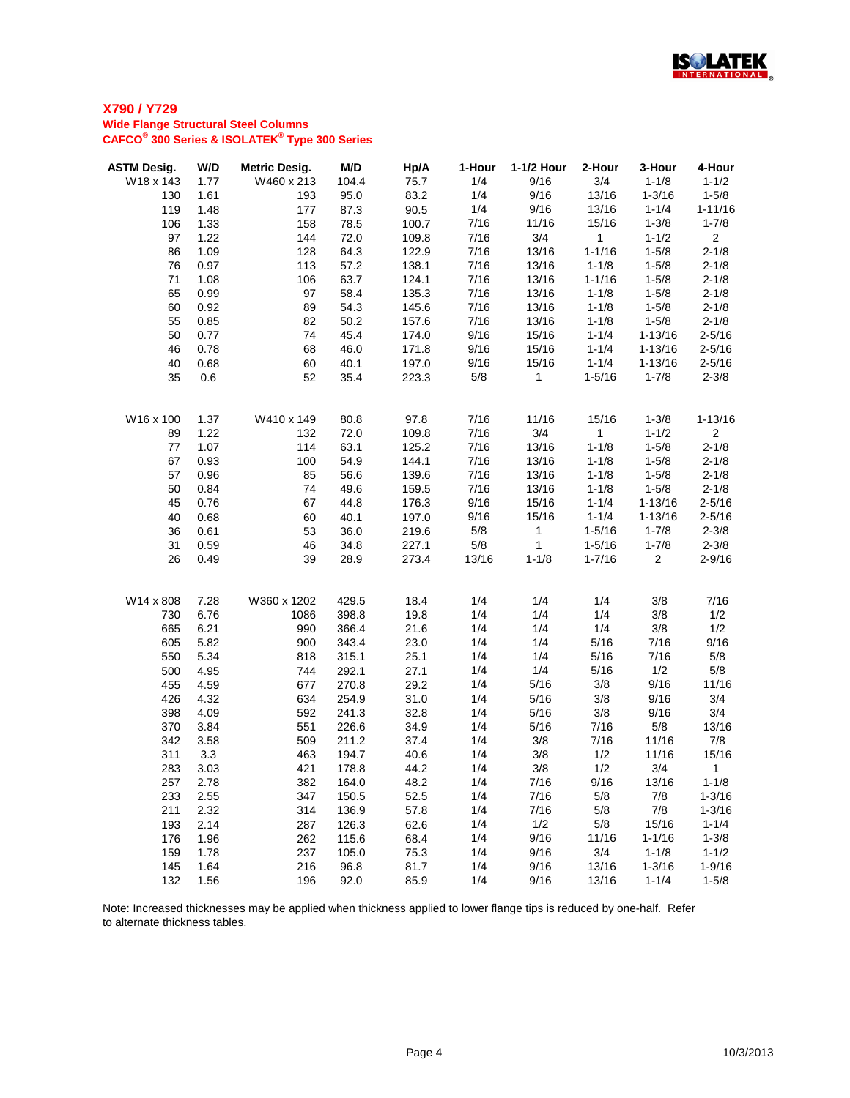

| <b>ASTM Desig.</b> | W/D  | <b>Metric Desig.</b> | M/D   | Hp/A  | 1-Hour     | 1-1/2 Hour   | 2-Hour       | 3-Hour         | 4-Hour                  |
|--------------------|------|----------------------|-------|-------|------------|--------------|--------------|----------------|-------------------------|
| W18 x 143          | 1.77 | W460 x 213           | 104.4 | 75.7  | 1/4        | 9/16         | 3/4          | $1 - 1/8$      | $1 - 1/2$               |
| 130                | 1.61 | 193                  | 95.0  | 83.2  | 1/4        | 9/16         | 13/16        | $1 - 3/16$     | $1 - 5/8$               |
| 119                | 1.48 | 177                  | 87.3  | 90.5  | 1/4        | 9/16         | 13/16        | $1 - 1/4$      | $1 - 11/16$             |
| 106                | 1.33 | 158                  | 78.5  | 100.7 | 7/16       | 11/16        | 15/16        | $1 - 3/8$      | $1 - 7/8$               |
| 97                 | 1.22 | 144                  | 72.0  | 109.8 | 7/16       | 3/4          | $\mathbf{1}$ | $1 - 1/2$      | $\overline{2}$          |
| 86                 | 1.09 | 128                  | 64.3  | 122.9 | 7/16       | 13/16        | $1 - 1/16$   | $1 - 5/8$      | $2 - 1/8$               |
| 76                 | 0.97 | 113                  | 57.2  | 138.1 | 7/16       | 13/16        | $1 - 1/8$    | $1 - 5/8$      | $2 - 1/8$               |
| 71                 | 1.08 | 106                  | 63.7  | 124.1 | 7/16       | 13/16        | $1 - 1/16$   | $1 - 5/8$      | $2 - 1/8$               |
| 65                 | 0.99 | 97                   | 58.4  | 135.3 | 7/16       | 13/16        | $1 - 1/8$    | $1 - 5/8$      | $2 - 1/8$               |
| 60                 | 0.92 | 89                   | 54.3  | 145.6 | 7/16       | 13/16        | $1 - 1/8$    | $1 - 5/8$      | $2 - 1/8$               |
| 55                 | 0.85 | 82                   | 50.2  | 157.6 | 7/16       | 13/16        | $1 - 1/8$    | $1 - 5/8$      | $2 - 1/8$               |
| 50                 | 0.77 | 74                   | 45.4  | 174.0 | 9/16       | 15/16        | $1 - 1/4$    | $1 - 13/16$    | $2 - 5/16$              |
| 46                 | 0.78 | 68                   | 46.0  | 171.8 | 9/16       | 15/16        | $1 - 1/4$    | $1 - 13/16$    | $2 - 5/16$              |
| 40                 | 0.68 | 60                   | 40.1  | 197.0 | 9/16       | 15/16        | $1 - 1/4$    | $1 - 13/16$    | $2 - 5/16$              |
| 35                 | 0.6  | 52                   | 35.4  | 223.3 | 5/8        | 1            | $1 - 5/16$   | $1 - 7/8$      | $2 - 3/8$               |
|                    |      |                      |       |       |            |              |              |                |                         |
| W16 x 100          | 1.37 | W410 x 149           | 80.8  | 97.8  | 7/16       | 11/16        | 15/16        | $1 - 3/8$      | $1 - 13/16$             |
| 89                 | 1.22 | 132                  | 72.0  | 109.8 | 7/16       | 3/4          | $\mathbf{1}$ | $1 - 1/2$      | $\overline{2}$          |
| 77                 | 1.07 | 114                  | 63.1  | 125.2 | 7/16       | 13/16        | $1 - 1/8$    | $1 - 5/8$      | $2 - 1/8$               |
| 67                 | 0.93 | 100                  | 54.9  | 144.1 | 7/16       | 13/16        | $1 - 1/8$    | $1 - 5/8$      | $2 - 1/8$               |
| 57                 | 0.96 | 85                   | 56.6  | 139.6 | 7/16       | 13/16        | $1 - 1/8$    | $1 - 5/8$      | $2 - 1/8$               |
| 50                 | 0.84 | 74                   | 49.6  | 159.5 | 7/16       | 13/16        | $1 - 1/8$    | $1 - 5/8$      | $2 - 1/8$               |
| 45                 | 0.76 | 67                   | 44.8  | 176.3 | 9/16       | 15/16        | $1 - 1/4$    | $1 - 13/16$    | $2 - 5/16$              |
| 40                 | 0.68 | 60                   | 40.1  | 197.0 | 9/16       | 15/16        | $1 - 1/4$    | $1 - 13/16$    | $2 - 5/16$              |
| 36                 | 0.61 | 53                   | 36.0  | 219.6 | 5/8        | $\mathbf{1}$ | $1 - 5/16$   | $1 - 7/8$      | $2 - 3/8$               |
| 31                 | 0.59 | 46                   | 34.8  | 227.1 | 5/8        | $\mathbf{1}$ | $1 - 5/16$   | $1 - 7/8$      | $2 - 3/8$               |
| 26                 | 0.49 | 39                   | 28.9  | 273.4 | 13/16      | $1 - 1/8$    | $1 - 7/16$   | $\overline{2}$ | $2 - 9/16$              |
| W14 x 808          | 7.28 | W360 x 1202          | 429.5 | 18.4  | 1/4        | 1/4          | 1/4          | 3/8            | 7/16                    |
| 730                | 6.76 | 1086                 | 398.8 | 19.8  | 1/4        | 1/4          | 1/4          | 3/8            | 1/2                     |
| 665                | 6.21 | 990                  | 366.4 | 21.6  | 1/4        | 1/4          | 1/4          | 3/8            | 1/2                     |
| 605                | 5.82 | 900                  | 343.4 | 23.0  | 1/4        | 1/4          | 5/16         | 7/16           | 9/16                    |
| 550                | 5.34 | 818                  | 315.1 | 25.1  | 1/4        | 1/4          | 5/16         | 7/16           | 5/8                     |
| 500                | 4.95 | 744                  | 292.1 | 27.1  | 1/4        | 1/4          | 5/16         | 1/2            | 5/8                     |
| 455                | 4.59 | 677                  | 270.8 | 29.2  | 1/4        | 5/16         | 3/8          | 9/16           | 11/16                   |
| 426                | 4.32 | 634                  | 254.9 | 31.0  | 1/4        | 5/16         | 3/8          | 9/16           | 3/4                     |
| 398                | 4.09 | 592                  | 241.3 | 32.8  | 1/4        | 5/16         | 3/8          | 9/16           | 3/4                     |
| 370                | 3.84 | 551                  | 226.6 | 34.9  | 1/4        | 5/16         | 7/16         | 5/8            | 13/16                   |
| 342                | 3.58 | 509                  | 211.2 | 37.4  | 1/4        | 3/8          | 7/16         | 11/16          | 7/8                     |
| 311                | 3.3  | 463                  | 194.7 | 40.6  | 1/4        | 3/8          | 1/2          | 11/16          | 15/16                   |
| 283                | 3.03 | 421                  | 178.8 | 44.2  | 1/4        | 3/8          | 1/2          | 3/4            | $\mathbf{1}$            |
|                    |      |                      |       |       |            |              |              |                |                         |
| 257                | 2.78 | 382                  | 164.0 | 48.2  | 1/4<br>1/4 | 7/16<br>7/16 | 9/16<br>5/8  | 13/16<br>7/8   | $1 - 1/8$<br>$1 - 3/16$ |
| 233                | 2.55 | 347                  | 150.5 | 52.5  |            |              |              |                |                         |
| 211                | 2.32 | 314                  | 136.9 | 57.8  | 1/4        | 7/16         | 5/8          | 7/8            | $1 - 3/16$              |
| 193                | 2.14 | 287                  | 126.3 | 62.6  | 1/4        | 1/2          | 5/8          | 15/16          | $1 - 1/4$               |
| 176                | 1.96 | 262                  | 115.6 | 68.4  | 1/4        | 9/16         | 11/16        | $1 - 1/16$     | $1 - 3/8$               |
| 159                | 1.78 | 237                  | 105.0 | 75.3  | 1/4        | 9/16         | 3/4<br>13/16 | $1 - 1/8$      | $1 - 1/2$<br>$1 - 9/16$ |
| 145                | 1.64 | 216                  | 96.8  | 81.7  | 1/4        | 9/16         |              | $1 - 3/16$     |                         |
| 132                | 1.56 | 196                  | 92.0  | 85.9  | 1/4        | 9/16         | 13/16        | $1 - 1/4$      | $1 - 5/8$               |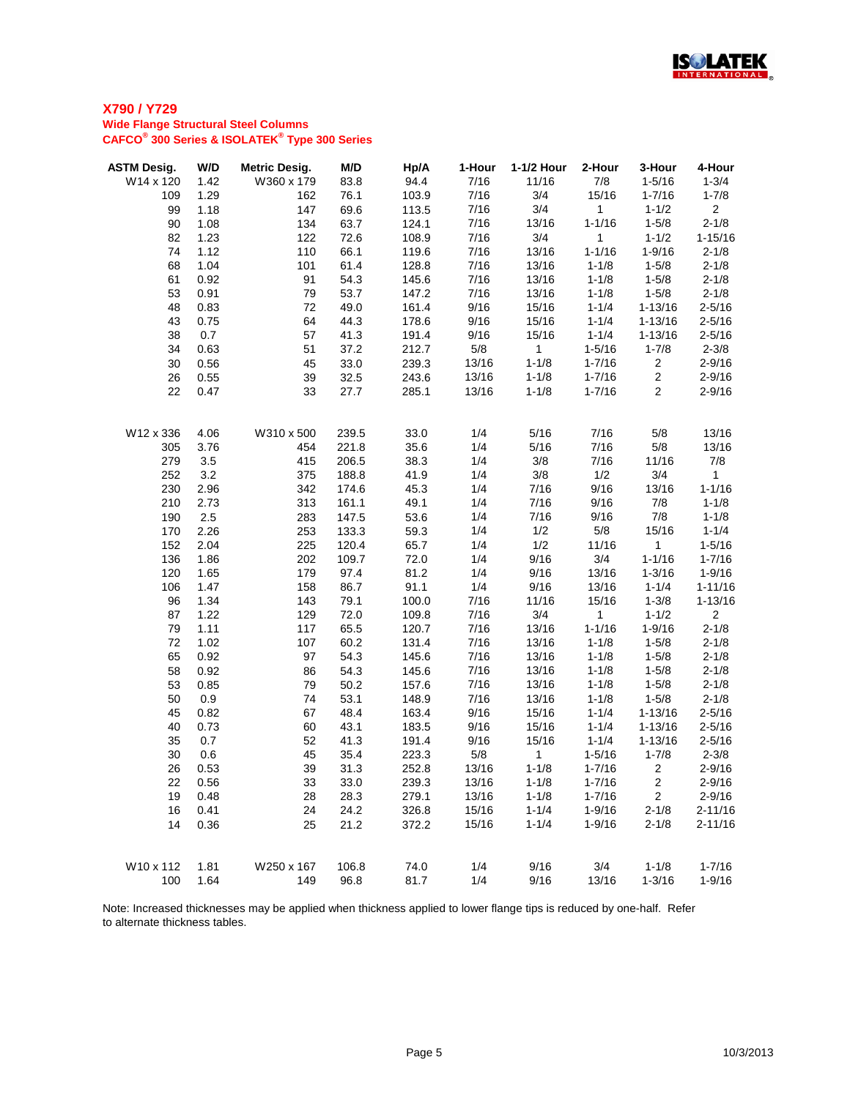

| <b>ASTM Desig.</b> | W/D  | <b>Metric Desig.</b> | M/D   | Hp/A  | 1-Hour | 1-1/2 Hour   | 2-Hour       | 3-Hour         | 4-Hour         |
|--------------------|------|----------------------|-------|-------|--------|--------------|--------------|----------------|----------------|
| W14 x 120          | 1.42 | W360 x 179           | 83.8  | 94.4  | 7/16   | 11/16        | 7/8          | $1 - 5/16$     | $1 - 3/4$      |
| 109                | 1.29 | 162                  | 76.1  | 103.9 | 7/16   | 3/4          | 15/16        | $1 - 7/16$     | $1 - 7/8$      |
| 99                 | 1.18 | 147                  | 69.6  | 113.5 | 7/16   | 3/4          | $\mathbf{1}$ | $1 - 1/2$      | 2 <sup>1</sup> |
| 90                 | 1.08 | 134                  | 63.7  | 124.1 | 7/16   | 13/16        | $1 - 1/16$   | $1 - 5/8$      | $2 - 1/8$      |
| 82                 | 1.23 | 122                  | 72.6  | 108.9 | 7/16   | 3/4          | $\mathbf{1}$ | $1 - 1/2$      | $1 - 15/16$    |
| 74                 | 1.12 | 110                  | 66.1  | 119.6 | 7/16   | 13/16        | $1 - 1/16$   | $1 - 9/16$     | $2 - 1/8$      |
| 68                 | 1.04 | 101                  | 61.4  | 128.8 | 7/16   | 13/16        | $1 - 1/8$    | $1 - 5/8$      | $2 - 1/8$      |
| 61                 | 0.92 | 91                   | 54.3  | 145.6 | 7/16   | 13/16        | $1 - 1/8$    | $1 - 5/8$      | $2 - 1/8$      |
| 53                 | 0.91 | 79                   | 53.7  | 147.2 | 7/16   | 13/16        | $1 - 1/8$    | $1 - 5/8$      | $2 - 1/8$      |
| 48                 | 0.83 | 72                   | 49.0  | 161.4 | 9/16   | 15/16        | $1 - 1/4$    | $1 - 13/16$    | $2 - 5/16$     |
| 43                 | 0.75 | 64                   | 44.3  | 178.6 | 9/16   | 15/16        | $1 - 1/4$    | $1 - 13/16$    | $2 - 5/16$     |
| 38                 | 0.7  | 57                   | 41.3  | 191.4 | 9/16   | 15/16        | $1 - 1/4$    | $1 - 13/16$    | $2 - 5/16$     |
| 34                 | 0.63 | 51                   | 37.2  | 212.7 | 5/8    | $\mathbf{1}$ | $1 - 5/16$   | $1 - 7/8$      | $2 - 3/8$      |
| 30                 | 0.56 | 45                   | 33.0  | 239.3 | 13/16  | $1 - 1/8$    | $1 - 7/16$   | $\overline{2}$ | $2 - 9/16$     |
| 26                 | 0.55 | 39                   | 32.5  | 243.6 | 13/16  | $1 - 1/8$    | $1 - 7/16$   | $\overline{2}$ | $2 - 9/16$     |
| 22                 | 0.47 | 33                   | 27.7  | 285.1 | 13/16  | $1 - 1/8$    | $1 - 7/16$   | $\overline{2}$ | $2 - 9/16$     |
|                    |      |                      |       |       |        |              |              |                |                |
| W12 x 336          | 4.06 | W310 x 500           | 239.5 | 33.0  | 1/4    | 5/16         | 7/16         | 5/8            | 13/16          |
| 305                | 3.76 | 454                  | 221.8 | 35.6  | 1/4    | 5/16         | 7/16         | 5/8            | 13/16          |
| 279                | 3.5  | 415                  | 206.5 | 38.3  | 1/4    | 3/8          | 7/16         | 11/16          | 7/8            |
| 252                | 3.2  | 375                  | 188.8 | 41.9  | 1/4    | 3/8          | 1/2          | 3/4            | $\mathbf{1}$   |
| 230                | 2.96 | 342                  | 174.6 | 45.3  | 1/4    | 7/16         | 9/16         | 13/16          | $1 - 1/16$     |
| 210                | 2.73 | 313                  | 161.1 | 49.1  | 1/4    | 7/16         | 9/16         | 7/8            | $1 - 1/8$      |
| 190                | 2.5  | 283                  | 147.5 | 53.6  | 1/4    | 7/16         | 9/16         | 7/8            | $1 - 1/8$      |
| 170                | 2.26 | 253                  | 133.3 | 59.3  | 1/4    | 1/2          | 5/8          | 15/16          | $1 - 1/4$      |
| 152                | 2.04 | 225                  | 120.4 | 65.7  | 1/4    | 1/2          | 11/16        | $\mathbf{1}$   | $1 - 5/16$     |
| 136                | 1.86 | 202                  | 109.7 | 72.0  | 1/4    | 9/16         | 3/4          | $1 - 1/16$     | $1 - 7/16$     |
| 120                | 1.65 | 179                  | 97.4  | 81.2  | 1/4    | 9/16         | 13/16        | $1 - 3/16$     | $1 - 9/16$     |
| 106                | 1.47 | 158                  | 86.7  | 91.1  | 1/4    | 9/16         | 13/16        | $1 - 1/4$      | $1 - 11/16$    |
| 96                 | 1.34 | 143                  | 79.1  | 100.0 | 7/16   | 11/16        | 15/16        | $1 - 3/8$      | $1 - 13/16$    |
| 87                 | 1.22 | 129                  | 72.0  | 109.8 | 7/16   | 3/4          | $\mathbf 1$  | $1 - 1/2$      | $\overline{2}$ |
| 79                 | 1.11 | 117                  | 65.5  | 120.7 | 7/16   | 13/16        | $1 - 1/16$   | $1 - 9/16$     | $2 - 1/8$      |
| 72                 | 1.02 | 107                  | 60.2  | 131.4 | 7/16   | 13/16        | $1 - 1/8$    | $1 - 5/8$      | $2 - 1/8$      |
| 65                 | 0.92 | 97                   | 54.3  | 145.6 | 7/16   | 13/16        | $1 - 1/8$    | $1 - 5/8$      | $2 - 1/8$      |
| 58                 | 0.92 | 86                   | 54.3  | 145.6 | 7/16   | 13/16        | $1 - 1/8$    | $1 - 5/8$      | $2 - 1/8$      |
| 53                 | 0.85 | 79                   | 50.2  | 157.6 | 7/16   | 13/16        | $1 - 1/8$    | $1 - 5/8$      | $2 - 1/8$      |
| 50                 | 0.9  | 74                   | 53.1  | 148.9 | 7/16   | 13/16        | $1 - 1/8$    | $1 - 5/8$      | $2 - 1/8$      |
| 45                 | 0.82 | 67                   | 48.4  | 163.4 | 9/16   | 15/16        | $1 - 1/4$    | $1 - 13/16$    | $2 - 5/16$     |
| 40                 | 0.73 | 60                   | 43.1  | 183.5 | 9/16   | 15/16        | $1 - 1/4$    | $1 - 13/16$    | $2 - 5/16$     |
| 35                 | 0.7  | 52                   | 41.3  | 191.4 | 9/16   | 15/16        | $1 - 1/4$    | $1 - 13/16$    | $2 - 5/16$     |
| 30                 | 0.6  | 45                   | 35.4  | 223.3 | 5/8    | 1            | $1 - 5/16$   | $1 - 7/8$      | $2 - 3/8$      |
| 26                 | 0.53 | 39                   | 31.3  | 252.8 | 13/16  | $1 - 1/8$    | $1 - 7/16$   | $\overline{c}$ | $2 - 9/16$     |
| 22                 | 0.56 | 33                   | 33.0  | 239.3 | 13/16  | $1 - 1/8$    | $1 - 7/16$   | $\overline{c}$ | $2 - 9/16$     |
| 19                 | 0.48 | 28                   | 28.3  | 279.1 | 13/16  | $1 - 1/8$    | $1 - 7/16$   | $\overline{2}$ | $2 - 9/16$     |
| 16                 | 0.41 | 24                   | 24.2  | 326.8 | 15/16  | $1 - 1/4$    | $1 - 9/16$   | $2 - 1/8$      | $2 - 11/16$    |
| 14                 | 0.36 | 25                   | 21.2  | 372.2 | 15/16  | $1 - 1/4$    | $1 - 9/16$   | $2 - 1/8$      | $2 - 11/16$    |
| W10 x 112          | 1.81 | W250 x 167           | 106.8 | 74.0  | 1/4    | 9/16         | 3/4          | $1 - 1/8$      | $1 - 7/16$     |
| 100                | 1.64 | 149                  | 96.8  | 81.7  | 1/4    | 9/16         | 13/16        | $1 - 3/16$     | $1 - 9/16$     |